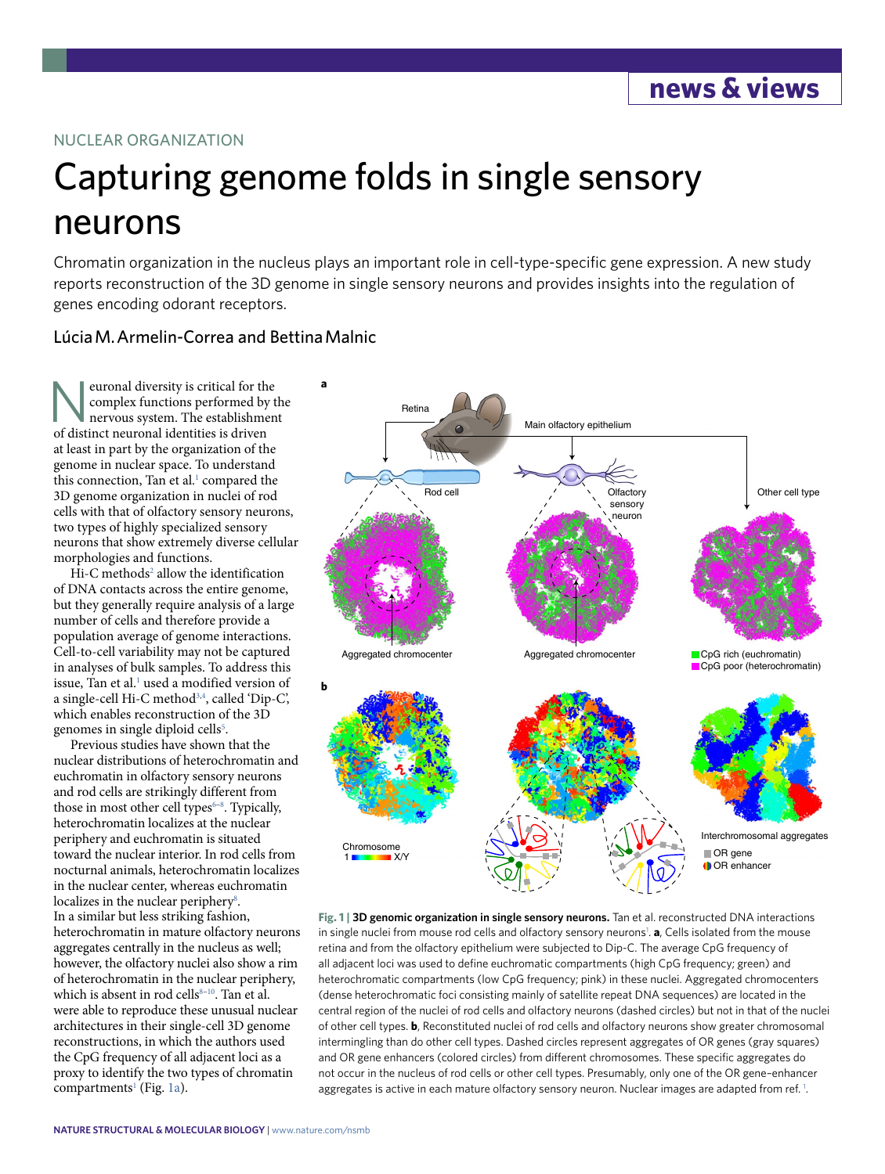## NUCLEAR ORGANIZATION

# Capturing genome folds in single sensory neurons

Chromatin organization in the nucleus plays an important role in cell-type-specifc gene expression. A new study reports reconstruction of the 3D genome in single sensory neurons and provides insights into the regulation of genes encoding odorant receptors.

## Lúcia M. Armelin-Correa and Bettina Malnic

Neuronal diversity is critical for the<br>
complex functions performed by t<br>
nervous system. The establishmen<br>
of distinct neuronal identities is driven complex functions performed by the nervous system. The establishment of distinct neuronal identities is driven at least in part by the organization of the genome in nuclear space. To understand this connection, Tan et al.<sup>1</sup> compared the 3D genome organization in nuclei of rod cells with that of olfactory sensory neurons, two types of highly specialized sensory neurons that show extremely diverse cellular morphologies and functions.

Hi-C methods<sup>[2](#page-1-1)</sup> allow the identification of DNA contacts across the entire genome, but they generally require analysis of a large number of cells and therefore provide a population average of genome interactions. Cell-to-cell variability may not be captured in analyses of bulk samples. To address this issue, Tan et al.<sup>[1](#page-1-0)</sup> used a modified version of a single-cell Hi-C method<sup>3,[4](#page-1-3)</sup>, called 'Dip-C', which enables reconstruction of the 3D genomes in single diploid cells<sup>[5](#page-1-4)</sup>.

Previous studies have shown that the nuclear distributions of heterochromatin and euchromatin in olfactory sensory neurons and rod cells are strikingly different from those in most other cell types $6-8$  $6-8$ . Typically, heterochromatin localizes at the nuclear periphery and euchromatin is situated toward the nuclear interior. In rod cells from nocturnal animals, heterochromatin localizes in the nuclear center, whereas euchromatin localizes in the nuclear periphery<sup>8</sup>. In a similar but less striking fashion, heterochromatin in mature olfactory neurons aggregates centrally in the nucleus as well; however, the olfactory nuclei also show a rim of heterochromatin in the nuclear periphery, which is absent in rod cells $8-10$ . Tan et al. were able to reproduce these unusual nuclear architectures in their single-cell 3D genome reconstructions, in which the authors used the CpG frequency of all adjacent loci as a proxy to identify the two types of chromatin compartments<sup>1</sup> (Fig. [1a](#page-0-0)).



<span id="page-0-0"></span>